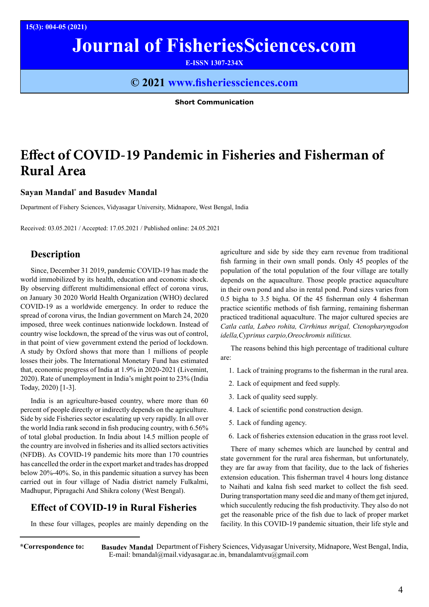# **Journal of FisheriesSciences.com**

**E-ISSN 1307-234X**

### **© 2021 www.fisheriessciences.com**

**Short Communication**

## **Effect of COVID-19 Pandemic in Fisheries and Fisherman of Rural Area**

#### **Sayan Mandal\* and Basudev Mandal**

Department of Fishery Sciences, Vidyasagar University, Midnapore, West Bengal, India

Received: 03.05.2021 / Accepted: 17.05.2021 / Published online: 24.05.2021

#### **Description**

Since, December 31 2019, pandemic COVID-19 has made the world immobilized by its health, education and economic shock. By observing different multidimensional effect of corona virus, on January 30 2020 World Health Organization (WHO) declared COVID-19 as a worldwide emergency. In order to reduce the spread of corona virus, the Indian government on March 24, 2020 imposed, three week continues nationwide lockdown. Instead of country wise lockdown, the spread of the virus was out of control, in that point of view government extend the period of lockdown. A study by Oxford shows that more than 1 millions of people losses their jobs. The International Monetary Fund has estimated that, economic progress of India at 1.9% in 2020-2021 (Livemint, 2020). Rate of unemployment in India's might point to 23% (India Today, 2020) [1-3].

India is an agriculture-based country, where more than 60 percent of people directly or indirectly depends on the agriculture. Side by side Fisheries sector escalating up very rapidly. In all over the world India rank second in fish producing country, with 6.56% of total global production. In India about 14.5 million people of the country are involved in fisheries and its allied sectors activities (NFDB). As COVID-19 pandemic hits more than 170 countries has cancelled the order in the export market and trades has dropped below 20%-40%. So, in this pandemic situation a survey has been carried out in four village of Nadia district namely Fulkalmi, Madhupur, Pipragachi And Shikra colony (West Bengal).

#### **Effect of COVID-19 in Rural Fisheries**

In these four villages, peoples are mainly depending on the

agriculture and side by side they earn revenue from traditional fish farming in their own small ponds. Only 45 peoples of the population of the total population of the four village are totally depends on the aquaculture. Those people practice aquaculture in their own pond and also in rental pond. Pond sizes varies from 0.5 bigha to 3.5 bigha. Of the 45 fisherman only 4 fisherman practice scientific methods of fish farming, remaining fisherman practiced traditional aquaculture. The major cultured species are *Catla catla, Labeo rohita, Cirrhinus mrigal, Ctenopharyngodon idella,Cyprinus carpio,Oreochromis niliticus.*

The reasons behind this high percentage of traditional culture are:

- 1. Lack of training programs to the fisherman in the rural area.
- 2. Lack of equipment and feed supply.
- 3. Lack of quality seed supply.
- 4. Lack of scientific pond construction design.
- 5. Lack of funding agency.
- 6. Lack of fisheries extension education in the grass root level.

There of many schemes which are launched by central and state government for the rural area fisherman, but unfortunately, they are far away from that facility, due to the lack of fisheries extension education. This fisherman travel 4 hours long distance to Naihati and kalna fish seed market to collect the fish seed. During transportation many seed die and many of them get injured, which succulently reducing the fish productivity. They also do not get the reasonable price of the fish due to lack of proper market facility. In this COVID-19 pandemic situation, their life style and

Basudev Mandal Department of Fishery Sciences, Vidyasagar University, Midnapore, West Bengal, India, E-mail: bmandal@mail.vidyasagar.ac.in, bmandalamtvu@gmail.com